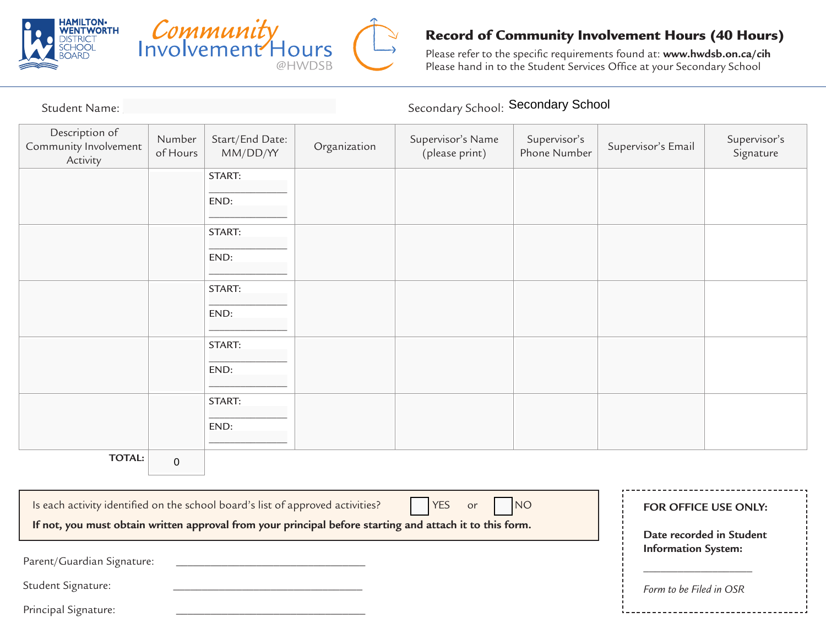



## Record of Community Involvement Hours (40 Hours)

Please refer to the specific requirements found at: **www.hwdsb.on.ca/cih** Please hand in to the Student Services Office at your Secondary School

| Student Name: ______________                                                                                    |                    |                             |              | Secondary School: Secondary School  |                              |                         |                                                        |  |
|-----------------------------------------------------------------------------------------------------------------|--------------------|-----------------------------|--------------|-------------------------------------|------------------------------|-------------------------|--------------------------------------------------------|--|
| Description of<br>Community Involvement<br>Activity                                                             | Number<br>of Hours | Start/End Date:<br>MM/DD/YY | Organization | Supervisor's Name<br>(please print) | Supervisor's<br>Phone Number | Supervisor's Email      | Supervisor's<br>Signature                              |  |
|                                                                                                                 |                    | START:                      |              |                                     |                              |                         |                                                        |  |
|                                                                                                                 |                    | END:                        |              |                                     |                              |                         |                                                        |  |
|                                                                                                                 |                    | START:                      |              |                                     |                              |                         |                                                        |  |
|                                                                                                                 |                    | END:                        |              |                                     |                              |                         |                                                        |  |
|                                                                                                                 |                    | START:                      |              |                                     |                              |                         |                                                        |  |
|                                                                                                                 |                    | END:                        |              |                                     |                              |                         |                                                        |  |
|                                                                                                                 |                    | START:                      |              |                                     |                              |                         |                                                        |  |
|                                                                                                                 |                    | END:                        |              |                                     |                              |                         |                                                        |  |
|                                                                                                                 |                    | START:                      |              |                                     |                              |                         |                                                        |  |
|                                                                                                                 |                    | END:                        |              |                                     |                              |                         |                                                        |  |
| <b>TOTAL:</b>                                                                                                   | $\mathbf 0$        |                             |              |                                     |                              |                         |                                                        |  |
|                                                                                                                 |                    |                             |              |                                     |                              |                         |                                                        |  |
| <b>NO</b><br>Is each activity identified on the school board's list of approved activities?<br><b>YES</b><br>or |                    |                             |              |                                     |                              | FOR OFFICE USE ONLY:    |                                                        |  |
| If not, you must obtain written approval from your principal before starting and attach it to this form.        |                    |                             |              |                                     |                              |                         | Date recorded in Student<br><b>Information System:</b> |  |
| Parent/Guardian Signature:                                                                                      |                    |                             |              |                                     |                              |                         |                                                        |  |
| Student Signature:                                                                                              |                    |                             |              |                                     |                              | Form to be Filed in OSR |                                                        |  |
| Principal Signature:                                                                                            |                    |                             |              |                                     |                              |                         |                                                        |  |